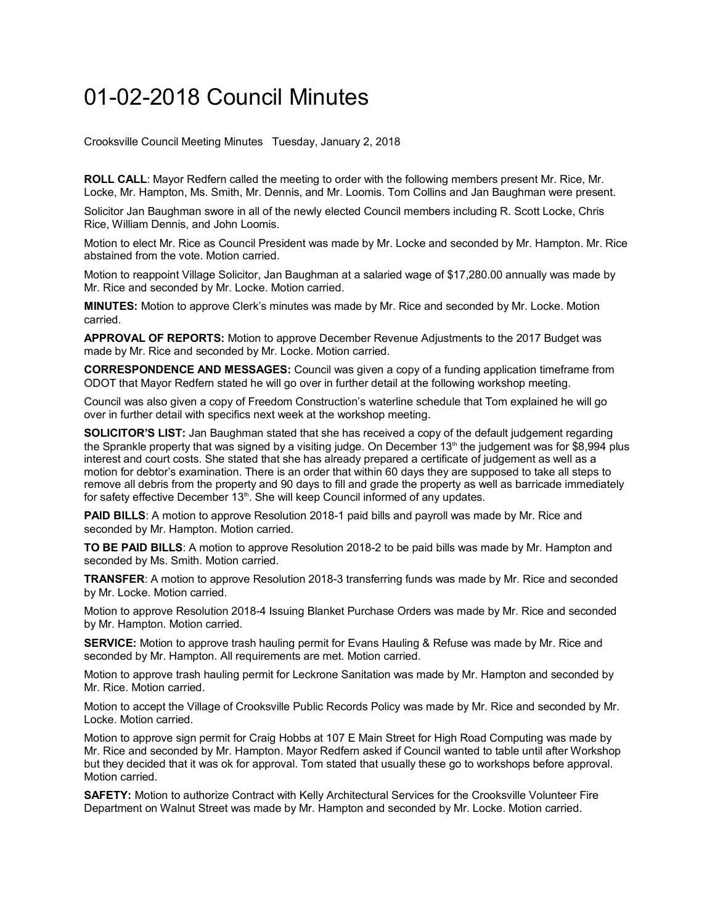## 01-02-2018 Council Minutes

Crooksville Council Meeting Minutes Tuesday, January 2, 2018

**ROLL CALL**: Mayor Redfern called the meeting to order with the following members present Mr. Rice, Mr. Locke, Mr. Hampton, Ms. Smith, Mr. Dennis, and Mr. Loomis. Tom Collins and Jan Baughman were present.

Solicitor Jan Baughman swore in all of the newly elected Council members including R. Scott Locke, Chris Rice, William Dennis, and John Loomis.

Motion to elect Mr. Rice as Council President was made by Mr. Locke and seconded by Mr. Hampton. Mr. Rice abstained from the vote. Motion carried.

Motion to reappoint Village Solicitor, Jan Baughman at a salaried wage of \$17,280.00 annually was made by Mr. Rice and seconded by Mr. Locke. Motion carried.

**MINUTES:** Motion to approve Clerk's minutes was made by Mr. Rice and seconded by Mr. Locke. Motion carried.

**APPROVAL OF REPORTS:** Motion to approve December Revenue Adjustments to the 2017 Budget was made by Mr. Rice and seconded by Mr. Locke. Motion carried.

**CORRESPONDENCE AND MESSAGES:** Council was given a copy of a funding application timeframe from ODOT that Mayor Redfern stated he will go over in further detail at the following workshop meeting.

Council was also given a copy of Freedom Construction's waterline schedule that Tom explained he will go over in further detail with specifics next week at the workshop meeting.

**SOLICITOR'S LIST:** Jan Baughman stated that she has received a copy of the default judgement regarding the Sprankle property that was signed by a visiting judge. On December 13<sup>th</sup> the judgement was for \$8,994 plus interest and court costs. She stated that she has already prepared a certificate of judgement as well as a motion for debtor's examination. There is an order that within 60 days they are supposed to take all steps to remove all debris from the property and 90 days to fill and grade the property as well as barricade immediately for safety effective December  $13<sup>th</sup>$ . She will keep Council informed of any updates.

**PAID BILLS:** A motion to approve Resolution 2018-1 paid bills and payroll was made by Mr. Rice and seconded by Mr. Hampton. Motion carried.

**TO BE PAID BILLS**: A motion to approve Resolution 2018-2 to be paid bills was made by Mr. Hampton and seconded by Ms. Smith. Motion carried.

**TRANSFER**: A motion to approve Resolution 2018-3 transferring funds was made by Mr. Rice and seconded by Mr. Locke. Motion carried.

Motion to approve Resolution 2018-4 Issuing Blanket Purchase Orders was made by Mr. Rice and seconded by Mr. Hampton. Motion carried.

**SERVICE:** Motion to approve trash hauling permit for Evans Hauling & Refuse was made by Mr. Rice and seconded by Mr. Hampton. All requirements are met. Motion carried.

Motion to approve trash hauling permit for Leckrone Sanitation was made by Mr. Hampton and seconded by Mr. Rice. Motion carried.

Motion to accept the Village of Crooksville Public Records Policy was made by Mr. Rice and seconded by Mr. Locke. Motion carried.

Motion to approve sign permit for Craig Hobbs at 107 E Main Street for High Road Computing was made by Mr. Rice and seconded by Mr. Hampton. Mayor Redfern asked if Council wanted to table until after Workshop but they decided that it was ok for approval. Tom stated that usually these go to workshops before approval. Motion carried.

**SAFETY:** Motion to authorize Contract with Kelly Architectural Services for the Crooksville Volunteer Fire Department on Walnut Street was made by Mr. Hampton and seconded by Mr. Locke. Motion carried.